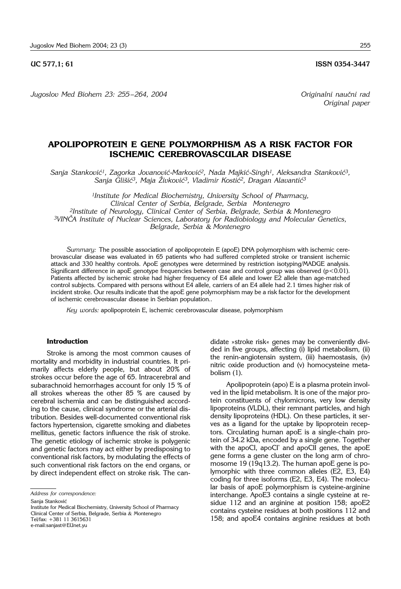**UC 577.1: 61 ISSN 0354-3447** 

*Jugoslov Med Biohem 23: 255 – 264, 2004 Originalni nau~ni rad*

# **APOLIPOPROTEIN E GENE POLYMORPHISM AS A RISK FACTOR FOR ISCHEMIC CEREBROVASCULAR DISEASE**

Sanja Stanković<sup>1</sup>, Zagorka Jovanović-Marković<sup>2</sup>, Nada Majkić-Singh<sup>1</sup>, Aleksandra Stanković<sup>3</sup>, Sanja Glišić<sup>3</sup>, Maja Živković<sup>3</sup>, Vladimir Kostić<sup>2</sup>, Dragan Alavantić<sup>3</sup>

*1Institute for Medical Biochemistry, University School of Pharmacy, Clinical Center of Serbia, Belgrade, Serbia Montenegro 2Institute of Neurology, Clinical Center of Serbia, Belgrade, Serbia* & *Montenegro 3VIN^A Institute of Nuclear Sciences, Laboratory for Radiobiology and Molecular Genetics, Belgrade, Serbia* & *Montenegro*

*Summary:* The possible association of apolipoprotein E (apoE) DNA polymorphism with ischemic cerebrovascular disease was evaluated in 65 patients who had suffered completed stroke or transient ischemic attack and 330 healthy controls. ApoE genotypes were determined by restriction isotyping/MADGE analysis. Significant difference in apoE genotype frequencies between case and control group was observed ( $p < 0.01$ ). Patients affected by ischemic stroke had higher frequency of E4 allele and lower E2 allele than age-matched control subjects. Compared with persons without E4 allele, carriers of an E4 allele had 2.1 times higher risk of incident stroke. Our results indicate that the apoE gene polymorphism may be a risk factor for the development of ischemic cerebrovascular disease in Serbian population..

*Key words:* apolipoprotein E, ischemic cerebrovascular disease, polymorphism

### **Introduction**

Stroke is among the most common causes of mortality and morbidity in industrial countries. It primarily affects elderly people, but about 20% of strokes occur before the age of 65. Intracerebral and subarachnoid hemorrhages account for only 15 % of all strokes whereas the other 85 % are caused by cerebral ischemia and can be distinguished according to the cause, clinical syndrome or the arterial distribution. Besides well-documented conventional risk factors hypertension, cigarette smoking and diabetes mellitus, genetic factors influence the risk of stroke. The genetic etiology of ischemic stroke is polygenic and genetic factors may act either by predisposing to conventional risk factors, by modulating the effects of such conventional risk factors on the end organs, or by direct independent effect on stroke risk. The can-

*Address for correspondence:*

Sanja Stanković

Institute for Medical Biochemistry, University School of Pharmacy Clinical Center of Serbia, Belgrade, Serbia & Montenegro Tel/fax: +381 11 3615631 e-mail:sanjast@EUnet.yu

didate »stroke risk« genes may be conveniently divided in five groups, affecting (i) lipid metabolism, (ii) the renin-angiotensin system, (iii) haemostasis, (iv) nitric oxide production and (v) homocysteine metabolism (1).

Apolipoprotein (apo) E is a plasma protein involved in the lipid metabolism. It is one of the major protein constituents of chylomicrons, very low density lipoproteins (VLDL), their remnant particles, and high density lipoproteins (HDL). On these particles, it serves as a ligand for the uptake by lipoprotein receptors. Circulating human apoE is a single-chain protein of 34.2 kDa, encoded by a single gene. Together with the apoCI, apoCI' and apoCII genes, the apoE gene forms a gene cluster on the long arm of chromosome 19 (19q13.2). The human apoE gene is polymorphic with three common alleles (E2, E3, E4) coding for three isoforms (E2, E3, E4). The molecular basis of apoE polymorphism is cysteine-arginine interchange. ApoE3 contains a single cysteine at residue 112 and an arginine at position 158; apoE2 contains cysteine residues at both positions 112 and 158; and apoE4 contains arginine residues at both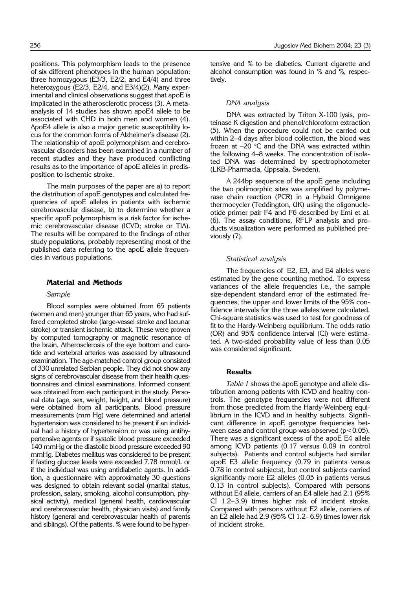positions. This polymorphism leads to the presence of six different phenotypes in the human population: three homozygous (E3/3, E2/2, and E4/4) and three heterozygous (E2/3, E2/4, and E3/4)(2). Many experimental and clinical observations suggest that apoE is implicated in the atherosclerotic process (3). A metaanalysis of 14 studies has shown apoE4 allele to be associated with CHD in both men and women (4). ApoE4 allele is also a major genetic susceptibility locus for the common forms of Alzheimer's disease (2). The relationship of apoE polymorphism and cerebrovascular disorders has been examined in a number of recent studies and they have produced conflicting results as to the importance of apoE alleles in predisposition to ischemic stroke.

The main purposes of the paper are a) to report the distribution of apoE genotypes and calculated frequencies of apoE alleles in patients with ischemic cerebrovascular disease, b) to determine whether a specific apoE polymorphism is a risk factor for ischemic cerebrovascular disease (ICVD; stroke or TIA). The results will be compared to the findings of other study populations, probably representing most of the published data referring to the apoE allele frequencies in various populations.

#### **Material and Methods**

### *Sample*

Blood samples were obtained from 65 patients (women and men) younger than 65 years, who had suffered completed stroke (large-vessel stroke and lacunar stroke) or transient ischemic attack. These were proven by computed tomography or magnetic resonance of the brain. Atherosclerosis of the eye bottom and carotide and vertebral arteries was assessed by ultrasound examination. The age-matched control group consisted of 330 unrelated Serbian people. They did not show any signs of cerebrovascular disease from their health questionnaires and clinical examinations. Informed consent was obtained from each participant in the study. Personal data (age, sex, weight, height, and blood pressure) were obtained from all participants. Blood pressure measurements (mm Hg) were determined and arterial hypertension was considered to be present if an individual had a history of hypertension or was using antihypertensive agents or if systolic blood pressure exceeded 140 mmHg or the diastolic blood pressure exceeded 90 mmHg. Diabetes mellitus was considered to be present if fasting glucose levels were exceeded 7.78 mmol/L or if the individual was using antidiabetic agents. In addition, a questionnaire with approximately 30 questions was designed to obtain relevant social (marital status, profession, salary, smoking, alcohol consumption, physical activity), medical (general health, cardiovascular and cerebrovascular health, physician visits) and family history (general and cerebrovascular health of parents and siblings). Of the patients, % were found to be hypertensive and % to be diabetics. Current cigarette and alcohol consumption was found in % and %, respectively.

### *DNA analysis*

DNA was extracted by Triton X-100 lysis, proteinase K digestion and phenol/chloroform extraction (5). When the procedure could not be carried out within 2–4 days after blood collection, the blood was frozen at  $-20$  °C and the DNA was extracted within the following 4–8 weeks. The concentration of isolated DNA was determined by spectrophotometer (LKB-Pharmacia, Uppsala, Sweden).

A 244bp sequence of the apoE gene including the two polimorphic sites was amplified by polymerase chain reaction (PCR) in a Hybaid Omnigene thermocycler (Teddington, UK) using the oligonucleotide primer pair F4 and F6 described by Emi et al. (6). The assay conditions, RFLP analysis and products visualization were performed as published previously (7).

### *Statistical analysis*

The frequencies of E2, E3, and E4 alleles were estimated by the gene counting method. To express variances of the allele frequencies i.e., the sample size-dependent standard error of the estimated frequencies, the upper and lower limits of the 95% confidence intervals for the three alleles were calculated. Chi-square statistics was used to test for goodness of fit to the Hardy-Weinberg equilibrium. The odds ratio (OR) and 95% confidence interval (CI) were estimated. A two-sided probability value of less than 0.05 was considered significant.

## **Results**

*Table I* shows the apoE genotype and allele distribution among patients with ICVD and healthy controls. The genotype frequencies were not different from those predicted from the Hardy-Weinberg equilibrium in the ICVD and in healthy subjects. Significant difference in apoE genotype frequencies between case and control group was observed  $(p<0.05)$ . There was a significant excess of the apoE E4 allele among ICVD patients (0.17 versus 0.09 in control subjects). Patients and control subjects had similar apoE E3 allelic frequency (0.79 in patients versus 0.78 in control subjects), but control subjects carried significantly more E2 alleles (0.05 in patients versus 0.13 in control subjects). Compared with persons without E4 allele, carriers of an E4 allele had 2.1 (95% CI 1.2–3.9) times higher risk of incident stroke. Compared with persons without E2 allele, carriers of an E2 allele had 2.9 (95% CI 1.2–6.9) times lower risk of incident stroke.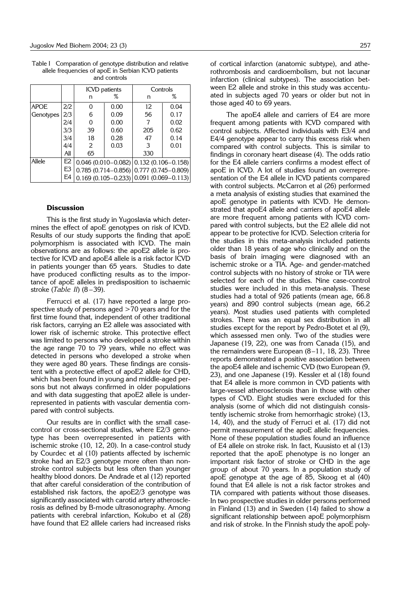Table I Comparation of genotype distribution and relative allele frequencies of apoE in Serbian ICVD patients and controls

|             |     | <b>ICVD</b> patients |      | Controls                                      |      |  |  |  |
|-------------|-----|----------------------|------|-----------------------------------------------|------|--|--|--|
|             |     | n                    | ℅    | n                                             | ℅    |  |  |  |
| <b>APOE</b> | 2/2 | 0                    | 0.00 | 12                                            | 0.04 |  |  |  |
| Genotypes   | 2/3 | 6                    | 0.09 | 56                                            | 0.17 |  |  |  |
|             | 2/4 | 0                    | 0.00 |                                               | 0.02 |  |  |  |
|             | 3/3 | 39                   | 0.60 | 205                                           | 0.62 |  |  |  |
|             | 3/4 | 18                   | 0.28 | 47                                            | 0.14 |  |  |  |
|             | 4/4 | 2                    | 0.03 | 3                                             | 0.01 |  |  |  |
|             | All | 65                   |      | 330                                           |      |  |  |  |
| Allele      | E2  |                      |      | $0.046$ (0.010-0.082) $(0.132$ (0.106-0.158)  |      |  |  |  |
|             | E3  |                      |      | $0.785$ (0.714-0.856) 0.777 (0.745-0.809)     |      |  |  |  |
|             | E4  |                      |      | $0.169(0.105 - 0.233)   0.091(0.069 - 0.113)$ |      |  |  |  |

### **Discussion**

This is the first study in Yugoslavia which determines the effect of apoE genotypes on risk of ICVD. Results of our study supports the finding that apoE polymorphism is associated with ICVD. The main observations are as follows: the apoE2 allele is protective for ICVD and apoE4 allele is a risk factor ICVD in patients younger than 65 years. Studies to date have produced conflicting results as to the importance of apoE alleles in predisposition to ischaemic stroke (*Table II*) (8 –39).

Ferrucci et al. (17) have reported a large prospective study of persons aged >70 years and for the first time found that, independent of other traditional risk factors, carrying an E2 allele was associated with lower risk of ischemic stroke. This protective effect was limited to persons who developed a stroke within the age range 70 to 79 years, while no effect was detected in persons who developed a stroke when they were aged 80 years. These findings are consistent with a protective effect of apoE2 allele for CHD, which has been found in young and middle-aged persons but not always confirmed in older populations and with data suggesting that apoE2 allele is underrepresented in patients with vascular dementia compared with control subjects.

Our results are in conflict with the small casecontrol or cross-sectional studies, where E2/3 genotype has been overrepresented in patients with ischemic stroke (10, 12, 20). In a case-control study by Courdec et al (10) patients affected by ischemic stroke had an E2/3 genotype more often than nonstroke control subjects but less often than younger healthy blood donors. De Andrade et al (12) reported that after careful consideration of the contribution of established risk factors, the apoE2/3 genotype was significantly associated with carotid artery atherosclerosis as defined by B-mode ultrasonography. Among patients with cerebral infarction, Kokubo et al (28) have found that E2 alllele cariers had increased risks

of cortical infarction (anatomic subtype), and atherothrombosis and cardioembolism, but not lacunar infarction (clinical subtypes). The association between E2 allele and stroke in this study was accentuated in subjects aged 70 years or older but not in those aged 40 to 69 years.

The apoE4 allele and carriers of E4 are more frequent among patients with ICVD compared with control subjects. Affected individuals with E3/4 and E4/4 genotype appear to carry this excess risk when compared with control subjects. This is similar to findings in coronary heart disease (4). The odds ratio for the E4 allele carriers confirms a modest effect of apoE in ICVD. A lot of studies found an overrepresentation of the E4 allele in ICVD patients compared with control subjects. McCarron et al (26) performed a meta analysis of existing studies that examined the apoE genotype in patients with ICVD. He demonstrated that apoE4 allele and carriers of apoE4 allele are more frequent among patients with ICVD compared with control subjects, but the E2 allele did not appear to be protective for ICVD. Selection criteria for the studies in this meta-analysis included patients older than 18 years of age who clinically and on the basis of brain imaging were diagnosed with an ischemic stroke or a TIA. Age- and gender-matched control subjects with no history of stroke or TIA were selected for each of the studies. Nine case-control studies were included in this meta-analysis. These studies had a total of 926 patients (mean age, 66.8 years) and 890 control subjects (mean age, 66.2 years). Most studies used patients with completed strokes. There was an equal sex distribution in all studies except for the report by Pedro-Botet et al (9), which assessed men only. Two of the studies were Japanese (19, 22), one was from Canada (15), and the remainders were European (8–11, 18, 23). Three reports demonstrated a positive association between the apoE4 allele and ischemic CVD (two European (9, 23), and one Japanese (19). Kessler et al (18) found that E4 allele is more common in CVD patients with large-vessel atherosclerosis than in those with other types of CVD. Eight studies were excluded for this analysis (some of which did not distinguish consistently ischemic stroke from hemorrhagic stroke) (13, 14, 40), and the study of Ferruci et al. (17) did not permit measurement of the apoE allelic frequencies. None of these population studies found an influence of E4 allele on stroke risk. In fact, Kuusisto et al (13) reported that the apoE phenotype is no longer an important risk factor of stroke or CHD in the age group of about 70 years. In a population study of apoE genotype at the age of 85, Skoog et al (40) found that E4 allele is not a risk factor strokes and TIA compared with patients without those diseases. In two prospective studies in older persons performed in Finland (13) and in Sweden (14) failed to show a significant relationship between apoE polymorphism and risk of stroke. In the Finnish study the apoE poly-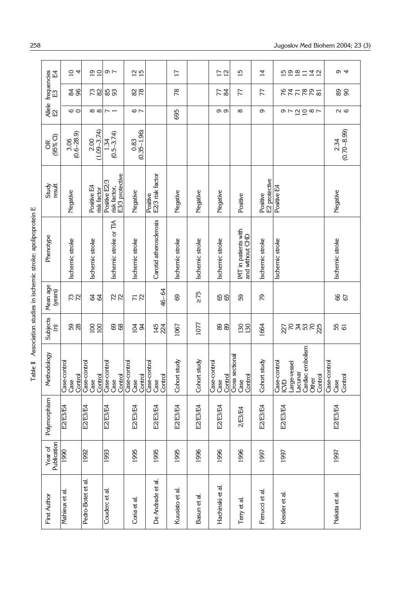| i                              |
|--------------------------------|
| i                              |
| ï                              |
| $\ddot{\phantom{0}}$           |
| $\frac{1}{2}$<br>$\frac{1}{2}$ |
| i<br>i                         |
| ŗ<br>٦<br>ī                    |

|                                                                   | 모                                | $\overline{a}$                  | $\frac{0}{10}$                  | $\sim$ $\sim$                                    | $\frac{2}{15}$                  |                                 | $\overline{1}$  |                 | $\frac{1}{12}$                  | $\overline{15}$                         | $\overline{4}$            | ちゅほけはに                                                                                        | o 4                             |
|-------------------------------------------------------------------|----------------------------------|---------------------------------|---------------------------------|--------------------------------------------------|---------------------------------|---------------------------------|-----------------|-----------------|---------------------------------|-----------------------------------------|---------------------------|-----------------------------------------------------------------------------------------------|---------------------------------|
|                                                                   | frequencies<br>E                 | $\frac{9}{2}$                   | 73                              | 85                                               | 28                              |                                 | $\frac{8}{2}$   |                 | 22                              | 77                                      | 77                        | <b>247895</b>                                                                                 | 88                              |
|                                                                   | 원<br>단<br>단                      | $\circ$                         | $\infty$                        | $\sim$ $-$                                       | $\frac{6}{2}$                   |                                 | 695             |                 | თთ                              | $^\infty$                               | Ō                         | の72087                                                                                        | $\sim$ $\circ$                  |
|                                                                   | $(95\%$ Cl)<br>g                 | $\frac{3.06}{(0.6-28.9)}$       | $(1.09 - 3.74)$<br>2.00         | $(0.5 - 3.74)$<br>1.34                           | $(0.35 - 1.96)$<br>0.83         |                                 |                 |                 |                                 |                                         |                           |                                                                                               | $(0.70 - 8.99)$<br>2.34         |
|                                                                   | Study<br>result                  | Negative                        | Positive E4<br>risk factor      | E3/3 protective<br>Positive E2/3<br>risk factor, | Negative                        | E2/3 risk factor<br>Positive    | Negative        | Negative        | Negative                        | Positive                                | E2 protective<br>Positive | Positive E4                                                                                   | Negative                        |
| Table II Association studies in ischemic stroke: apolipoprotein E | Phenotype                        | Ischemic stroke                 | Ischemic stroke                 | Ischemic stroke or TIA                           | Ischemic stroke                 | Carotid atherosclerosis         | Ischemic stroke | Ischemic stroke | Ischemic stroke                 | IMT in patients with<br>and without CHD | Ischemic stroke           | Ischemic stroke                                                                               | Ischemic stroke                 |
|                                                                   | Mean age<br>(years)              | 72                              | \$\$                            | R <sub>2</sub>                                   | 72                              | 46-64                           | 89              | $\geq 75$       | 88                              | 59                                      | ρZ                        |                                                                                               | 67                              |
|                                                                   | Subjects<br>$\widehat{\epsilon}$ | 58                              | 100<br>100                      | 89                                               | $\frac{5}{94}$                  | 145<br>224                      | 1067            | 1077            | 89                              | 130                                     | 1664                      | 2023223                                                                                       | 55<br>61                        |
|                                                                   | Methodology                      | Case-control<br>Control<br>Case | Case-control<br>Case<br>Control | Case-control<br>Control<br>Case                  | Case-control<br>Control<br>Case | Case-control<br>Control<br>Case | study<br>Cohort | study<br>Cohort | Case-control<br>Control<br>Case | Cross sectional<br>Control<br>Case      | study<br>Cohort           | Cardiac embolism<br>Case-control<br>Large-vessel<br>Lacunar<br>Control<br>Other<br><b>CVD</b> | Case-control<br>Control<br>Case |
|                                                                   | Polymorphism                     | E2/E3/E4                        | E2/E3/E4                        | E2/E3/E4                                         | E2/E3/E4                        | E2/E3/E4                        | E2/E3/E4        | E2/E3/E4        | E2/E3/E4                        | 2/E3/E4                                 | E2/E3/E4                  | E2/E3/E4                                                                                      | E2/E3/E4                        |
|                                                                   | Publication<br>Year of           | 1990                            | 1992                            | 1993                                             | 1995                            | 1995                            | 1995            | 1996            | 1996                            | 1996                                    | 1997                      | 1997                                                                                          | 1997                            |
|                                                                   | First Author                     | Mahieux et al                   | Pedro-Botet et al.              | Couderc et al.                                   | Coria et al.                    | De Andrade et al.               | Kuusisto et al. | Basun et al.    | Hachinski et al.                | Terry et al                             | Ferrucci et al.           | Kessler et al.                                                                                | Nakata et al.                   |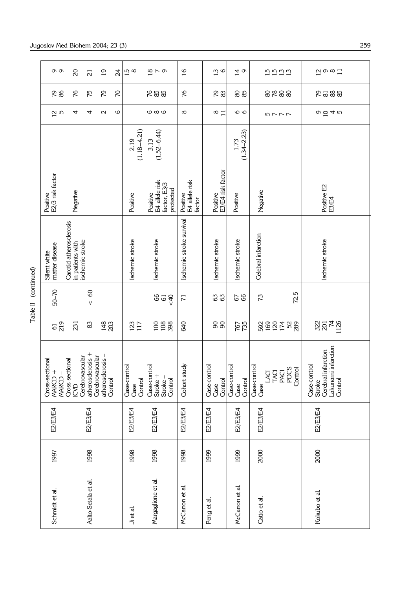| တ တ<br>28<br>$\frac{2}{5}$           | $\Omega$<br>97<br>4                         | $\overline{2}$<br>75<br>4 | $\overline{0}$<br>52<br>$\sim$                  | 24<br>S<br>6 | $\frac{15}{8}$                  | $\frac{1}{6}$ $\sim$ 0<br>688<br>ဖ ထ ဖ                  | $\frac{6}{1}$<br>76<br>${}^{\circ}$  | $\frac{3}{6}$<br>& ಶ<br>$\infty$ $\overline{a}$ | $\vec{a}$<br><u>යි</u> සි<br>$\circ$       | <b>in in in</b><br>in in in<br>8288<br>ヒアアア                            |
|--------------------------------------|---------------------------------------------|---------------------------|-------------------------------------------------|--------------|---------------------------------|---------------------------------------------------------|--------------------------------------|-------------------------------------------------|--------------------------------------------|------------------------------------------------------------------------|
|                                      |                                             |                           |                                                 |              | $(1.18 - 4.21)$<br>2.19         | $(1.52 - 6.44)$<br>3.13                                 |                                      |                                                 | $(1.34 - 2.23)$<br>1.73                    |                                                                        |
| E2/3 risk factor<br>Positive         | Negative                                    |                           |                                                 |              | Positive                        | E4 allele risk<br>factor, E3/3<br>protected<br>Positive | Positive<br>E4 allele risk<br>factor |                                                 | Positive<br>E3/E4 risk factor<br>Positive  | Negative                                                               |
| matter disease<br>Silent white       | Carotid atherosclerosis<br>in patients with | ischemic stroke           |                                                 |              | Ischemic stroke                 | Ischemic stroke                                         | Ischemic stroke survival             | Ischemic stroke                                 | Ischemic stroke                            | Celebral infarction                                                    |
| 50-70                                |                                             | $\overline{60}$<br>$\vee$ |                                                 |              |                                 | <40<br>$\mathbb{G}$                                     | $\overline{r}$                       | යි ය                                            | 67                                         | 72.5<br>73                                                             |
| 219<br>$\overline{6}$                | 231                                         | 83                        | $\frac{48}{203}$                                |              | 123                             | 288                                                     | 640                                  | 88                                              | 767<br>735                                 | 592<br>169<br>2728                                                     |
| Cross-sectional<br>MARCD +<br>MARCD- | Cerebrovascular<br>Cross sectional<br>ICVD  | atherosclerosis +         | atherosclerosis –<br>Control<br>Cerebrovascular |              | Case-control<br>Case<br>Control | Case-control<br>Stroke +<br>Stroke-<br>Control          | Cohort study                         | Case-control<br>Case                            | Case-control<br>Control<br>Control<br>Case | Case-control<br>Case<br><b>ACU<br/>TACU<br/>POCS<br/>OTED</b><br>OOTED |
| E2/E3/E4                             |                                             | E2/E3/E4                  |                                                 |              | E2/E3/E4                        | E2/E3/E4                                                | E2/E3/E4                             | E2/E3/E4                                        | E2/E3/E4                                   | E2/E3/E4                                                               |
| 1997                                 |                                             | 1998                      |                                                 |              | 1998                            | 1998                                                    | 1998                                 | 1999                                            | 1999                                       | 2000                                                                   |
| Schmidt et al.                       |                                             | Aalto-Setala et al.       |                                                 |              | Ji et al.                       | Margaglione et al.                                      | McCarron et al.                      | Peng et al                                      | McCarron et al.                            | Catto et al.                                                           |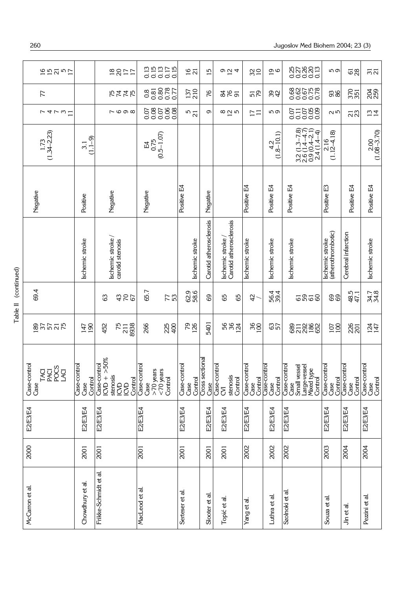| 1957<br>$\frac{5}{7}$                         |                                 | 3877                                                                     | 0.15<br>0.15<br>0.000                                          | 16 <sub>2</sub>                      | $\overline{5}$          | $\circ$ $\vec{a}$ 4                        | $\frac{2}{2}$                                     | $\overline{\mathbf{0}}$ $\mathbf{0}$             | sangga<br>Sangga                                                                                     | <u>ന ത</u>                                           | <b>යි</b>                       | $\overline{51}$                 |
|-----------------------------------------------|---------------------------------|--------------------------------------------------------------------------|----------------------------------------------------------------|--------------------------------------|-------------------------|--------------------------------------------|---------------------------------------------------|--------------------------------------------------|------------------------------------------------------------------------------------------------------|------------------------------------------------------|---------------------------------|---------------------------------|
| 77                                            |                                 | ちははお                                                                     | 22882<br>0880<br>0000                                          | 210<br>137                           | 97                      | <b>SE5</b>                                 | 579                                               | ಜ ಕ                                              | sang<br>Sang<br>Sang                                                                                 | 88                                                   | 370                             | 259                             |
| $r$ 4 $r$ $\omega$ $\Xi$                      |                                 | $\sim$ $\circ$ $\circ$ $\circ$                                           | 506<br>0.06<br>0.0<br>0.08<br>0.07                             | $\frac{5}{21}$                       | ō                       | $\alpha$ $\alpha$ $\alpha$                 | $\overline{\phantom{0}}$ $\overline{\phantom{0}}$ | <b>59</b>                                        | 011088<br>00000                                                                                      | ию                                                   | ដន                              | $\frac{13}{4}$                  |
| $1.73$<br>(1.34–2.23)                         | $(1.1 - 9)$<br>3.1              |                                                                          | $(0.5 - 1.07)$<br>0.75<br>E4                                   |                                      |                         |                                            |                                                   | $\begin{array}{c} 4.2 \\ (1.8-10.1) \end{array}$ | $\begin{array}{c} 3.2 (1.3 - 7.8) \\ 2.6 (1.4 - 4.7) \\ 0.9 (0.4 - 2.1) \end{array}$<br>$2.4(1.4-4)$ | $\begin{array}{c} 2.16 \\ (1.12 - 4.18) \end{array}$ |                                 | $2.00$<br>$(1.08 - 3.70)$       |
| Negative                                      | Positive                        | Negative                                                                 | Negative                                                       | Positive E4                          | Negative                |                                            | Positive E4                                       | Positive E4                                      | Positive E4                                                                                          | Positive E3                                          | Positive E4                     | Positive E4                     |
|                                               | Ischemic stroke                 | Ischemic stroke/<br>carotid stenosis                                     |                                                                | Ischemic stroke                      | Carotid atherosclerosis | Carotid atherosclerosis<br>Ischemic stroke | Ischemic stroke                                   | Ischemic stroke                                  | Ischemic stroke                                                                                      | Ischemic stroke<br>(atherothrombotic)                | Cerebral infarction             | Ischemic stroke                 |
| 69.4                                          |                                 | 352<br>යි                                                                | 65.7<br><b>723</b>                                             | 62.9<br>58.6                         | 69                      | 65<br>65                                   | đ,                                                | 56.4<br>39.4                                     | <b>6258</b>                                                                                          | 89                                                   | 47.1<br>47.1                    | 34.7<br>34.8                    |
| <b>BRE25</b>                                  | 190<br>147                      | 8938<br>$75$<br>211<br>452                                               | 266<br>225<br>400                                              | <b>PS1</b>                           | 5401                    | 582<br>582                                 | $\frac{86}{26}$                                   | 657                                              | 877888                                                                                               | 107                                                  | 226                             | 1247                            |
| Case-control<br><b>EXPOS</b><br>NGCCO<br>Case | Case-control<br>Control<br>Case | >50%<br>Case-control<br>$1$ CVD +<br>stenosis<br>Control<br>$rac{6}{56}$ | Case-control<br>$>70$ years<br>$< 70$ years<br>Control<br>Case | ptrol<br>Case-coi<br>Case<br>Control | Cross sectional<br>Case | Case-control<br>stenosis<br>Control<br>δ   | Case-control<br>Case                              | Control<br>Case-control<br>Case<br>Control       | Case-control<br>Case<br>Small vessel<br>Large-vessel<br>Mixed type<br>Control                        | Case-control<br>Case<br>Control                      | Case-control<br>Case<br>Control | Case-control<br>Case<br>Control |
| E2/E3/E4                                      | E2/E3/E4                        | E2/E3/E4                                                                 | E2/E3/E4                                                       | E2/E3/E4                             | E2/E3/E4                | E2/E3/E4                                   | E2/E3/E4                                          | E2/E3/E4                                         | E2/E3/E4                                                                                             | E2/E3/E4                                             | E2/E3/E4                        | E2/E3/E4                        |
| 2000                                          | 2001                            | 2001                                                                     | 2001                                                           | 2001                                 | 2001                    | 2001                                       | 2002                                              | 2002                                             | 2002                                                                                                 | 2003                                                 | 2004                            | 2004                            |
| McCarron et al                                | Chowdhury et al.                | Frikke-Schmidt et al.                                                    | MacLeod et al                                                  | Serteser et al                       | Slooter et al.          | Topić et al.                               | et al<br>Yang                                     | Luthra et al.                                    | Szolnoki et al                                                                                       | Souza et al.                                         | Jin et al.                      | Pezini et al.                   |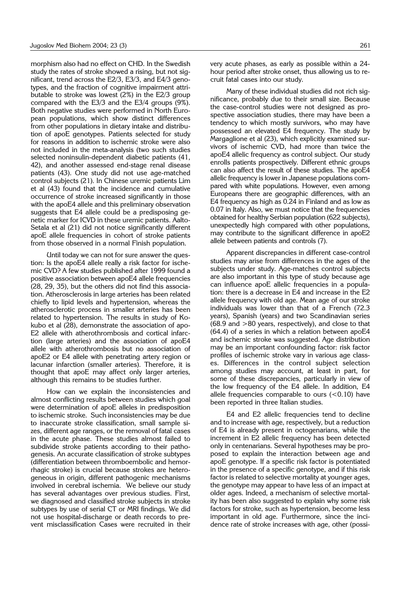morphism also had no effect on CHD. In the Swedish study the rates of stroke showed a rising, but not significant, trend across the E2/3, E3/3, and E4/3 genotypes, and the fraction of cognitive impairment attributable to stroke was lowest (2%) in the E2/3 group compared with the E3/3 and the E3/4 groups (9%). Both negative studies were performed in North European populations, which show distinct differences from other populations in dietary intake and distribution of apoE genotypes. Patients selected for study for reasons in addition to ischemic stroke were also not included in the meta-analysis (two such studies selected noninsulin-dependent diabetic patients (41, 42), and another assessed end-stage renal disease patients (43). One study did not use age-matched control subjects (21). In Chinese uremic patients Lim et al (43) found that the incidence and cumulative occurrence of stroke increased significantly in those with the apoE4 allele and this preliminary observation suggests that E4 allele could be a predisposing genetic marker for ICVD in these uremic patients. Aalto-Setala et al (21) did not notice significantly different apoE allele frequencies in cohort of stroke patients from those observed in a normal Finish population.

Until today we can not for sure answer the question: Is the apoE4 allele really a risk factor for ischemic CVD? A few studies published after 1999 found a positive association between apoE4 allele frequencies (28, 29, 35), but the others did not find this association. Atherosclerosis in large arteries has been related chiefly to lipid levels and hypertension, whereas the atherosclerotic process in smaller arteries has been related to hypertension. The results in study of Kokubo et al (28), demonstrate the association of apo-E2 allele with atherothrombosis and cortical infarction (large arteries) and the association of apoE4 allele with atherothrombosis but no association of apoE2 or E4 allele with penetrating artery region or lacunar infarction (smaller arteries). Therefore, it is thought that apoE may affect only larger arteries, although this remains to be studies further.

How can we explain the inconsistencies and almost conflicting results between studies which goal were determination of apoE alleles in predisposition to ischemic stroke. Such inconsistencies may be due to inaccurate stroke classification, small sample sizes, different age ranges, or the removal of fatal cases in the acute phase. These studies almost failed to subdivide stroke patients according to their pathogenesis. An accurate classification of stroke subtypes (differentiation between thromboembolic and hemorrhagic stroke) is crucial because strokes are heterogeneous in origin, different pathogenic mechanisms involved in cerebral ischemia. We believe our study has several advantages over previous studies. First, we diagnosed and classified stroke subjects in stroke subtypes by use of serial CT or MRI findings. We did not use hospital-discharge or death records to prevent misclassification Cases were recruited in their

very acute phases, as early as possible within a 24 hour period after stroke onset, thus allowing us to recruit fatal cases into our study.

Many of these individual studies did not rich significance, probably due to their small size. Because the case-control studies were not designed as prospective association studies, there may have been a tendency to which mostly survivors, who may have possessed an elevated E4 frequency. The study by Margaglione et al (23), which explicitly examined survivors of ischemic CVD, had more than twice the apoE4 allelic frequency as control subject. Our study enrolls patients prospectively. Different ethnic groups can also affect the result of these studies. The apoE4 allelic frequency is lower in Japanese populations compared with white populations. However, even among Europeans there are geographic differences, with an E4 frequency as high as 0.24 in Finland and as low as 0.07 in Italy. Also, we must notice that the frequencies obtained for healthy Serbian population (622 subjects), unexpectedly high compared with other populations, may contribute to the significant difference in apoE2 allele between patients and controls (7).

Apparent discrepancies in different case-control studies may arise from differences in the ages of the subjects under study. Age-matches control subjects are also important in this type of study because age can influence apoE allelic frequencies in a population: there is a decrease in E4 and increase in the E2 allele frequency with old age. Mean age of our stroke individuals was lower than that of a French (72.3 years), Spanish (years) and two Scandinavian series  $(68.9 \text{ and } >80 \text{ years}, \text{ respectively})$ , and close to that (64.4) of a series in which a relation between apoE4 and ischemic stroke was suggested. Age distribution may be an important confounding factor: risk factor profiles of ischemic stroke vary in various age classes. Differences in the control subject selection among studies may account, at least in part, for some of these discrepancies, particularly in view of the low frequency of the E4 allele. In addition, E4 allele frequencies comparable to ours  $(<0.10$ ) have been reported in three Italian studies.

E4 and E2 allelic frequencies tend to decline and to increase with age, respectively, but a reduction of E4 is already present in octogenarians, while the increment in E2 allelic frequency has been detected only in centenarians. Several hypotheses may be proposed to explain the interaction between age and apoE genotype. If a specific risk factor is potentiated in the presence of a specific genotype, and if this risk factor is related to selective mortality at younger ages, the genotype may appear to have less of an impact at older ages. Indeed, a mechanism of selective mortality has been also suggested to explain why some risk factors for stroke, such as hypertension, become less important in old age. Furthermore, since the incidence rate of stroke increases with age, other (possi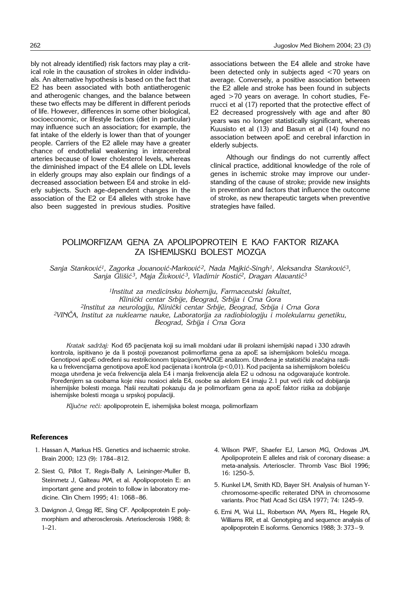bly not already identified) risk factors may play a critical role in the causation of strokes in older individuals. An alternative hypothesis is based on the fact that E2 has been associated with both antiatherogenic and atherogenic changes, and the balance between these two effects may be different in different periods of life. However, differences in some other biological, socioeconomic, or lifestyle factors (diet in particular) may influence such an association; for example, the fat intake of the elderly is lower than that of younger people. Carriers of the E2 allele may have a greater chance of endothelial weakening in intracerebral arteries because of lower cholesterol levels, whereas the diminished impact of the E4 allele on LDL levels in elderly groups may also explain our findings of a decreased association between E4 and stroke in elderly subjects. Such age-dependent changes in the association of the E2 or E4 alleles with stroke have also been suggested in previous studies. Positive

associations between the E4 allele and stroke have been detected only in subjects aged <70 years on average. Conversely, a positive association between the E2 allele and stroke has been found in subjects aged >70 years on average. In cohort studies, Ferrucci et al (17) reported that the protective effect of E2 decreased progressively with age and after 80 years was no longer statistically significant, whereas Kuusisto et al (13) and Basun et al (14) found no association between apoE and cerebral infarction in elderly subjects.

Although our findings do not currently affect clinical practice, additional knowledge of the role of genes in ischemic stroke may improve our understanding of the cause of stroke; provide new insights in prevention and factors that influence the outcome of stroke, as new therapeutic targets when preventive strategies have failed.

# POLIMORFIZAM GENA ZA APOLIPOPROTEIN E KAO FAKTOR RIZAKA ZA ISHEMIJSKU BOLEST MOZGA

Sanja Stanković<sup>1</sup>, Zagorka Jovanović-Marković<sup>2</sup>, Nada Majkić-Singh<sup>1</sup>, Aleksandra Stanković<sup>3</sup>, *Sanja Gli{i} 3, Maja @ivkovi} 3, Vladimir Kosti}2, Dragan Alavanti}3*

*1Institut za medicinsku biohemiju, Farmaceutski fakultet, Klini~ki centar Srbije, Beograd, Srbija i Crna Gora 2Institut za neurologiju, Klini~ki centar Srbije, Beograd, Srbija i Crna Gora 2VIN^A, Institut za nuklearne nauke, Laboratorija za radiobiologiju i molekularnu genetiku, Beograd, Srbija i Crna Gora*

Kratak sadržai: Kod 65 pacijenata koji su imali moždani udar ili prolazni ishemijski napad i 330 zdravih kontrola, ispitivano je da li postoji povezanost polimorfizma gena za apoE sa ishemijskom bolešću mozga. Genotipovi apoE određeni su restrikcionom tipizacijom/MADGE analizom. Utvrđena je statistički značajna razlika u frekvencijama genotipova apoE kod pacijenata i kontrola (p<0,01). Kod pacijenta sa ishemijskom bolešću mozga utvrđena je veća frekvencija alela E4 i manja frekvencija alela E2 u odnosu na odgovarajuće kontrole. Poređenjem sa osobama koje nisu nosioci alela E4, osobe sa alelom E4 imaju 2.1 put veći rizik od dobijanja ishemijske bolesti mozga. Naši rezultati pokazuju da je polimorfizam gena za apoE faktor rizika za dobijanje ishemijske bolesti mozga u srpskoj populaciji.

Ključne reči: apolipoprotein E, ishemijska bolest mozga, polimorfizam

#### **References**

- 1. Hassan A, Markus HS. Genetics and ischaemic stroke. Brain 2000; 123 (9): 1784–812.
- 2. Siest G, Pillot T, Regis-Bally A, Leininger-Muller B, Steinmetz J, Galteau MM, et al. Apolipoprotein E: an important gene and protein to follow in laboratory medicine. Clin Chem 1995; 41: 1068–86.
- 3. Davignon J, Gregg RE, Sing CF. Apolipoprotein E polymorphism and atherosclerosis. Arteriosclerosis 1988; 8: 1–21.
- 4. Wilson PWF, Shaefer EJ, Larson MG, Ordovas JM. Apolipoprotein E alleles and risk of coronary disease: a meta-analysis. Arterioscler. Thromb Vasc Biol 1996; 16: 1250–5.
- 5. Kunkel LM, Smith KD, Bayer SH. Analysis of human Ychromosome-specific reiterated DNA in chromosome variants. Proc Natl Acad Sci USA 1977; 74: 1245–9.
- 6. Emi M, Wui LL, Robertson MA, Myers RL, Hegele RA, Williams RR, et al. Genotyping and sequence analysis of apolipoprotein E isoforms. Genomics 1988; 3: 373– 9.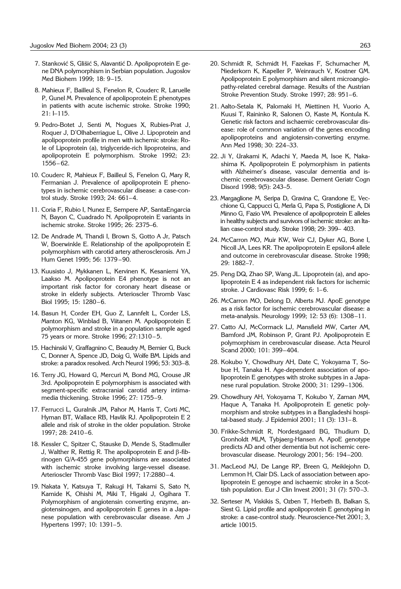- 7. Stanković S, Glišić S, Alavantić D. Apolipoprotein E gene DNA polymorphism in Serbian population. Jugoslov Med Biohem 1999; 18: 9–15.
- 8. Mahieux F, Bailleul S, Fenelon R, Couderc R, Laruelle P, Gunel M. Prevalence of apolipoprotein E phenotypes in patients with acute ischemic stroke. Stroke 1990; 21: I–115.
- 9. Pedro-Botet J, Senti M, Nogues X, Rubies-Prat J, Roquer J, D'Olhaberriague L, Olive J. Lipoprotein and apolipoprotein profile in men with ischemic stroke: Role of Lipoprotein (a), triglyceride-rich lipoproteins, and apolipoprotein E polymorphism. Stroke 1992; 23: 1556– 62.
- 10. Couderc R, Mahieux F, Bailleul S, Fenelon G, Mary R, Fermanian J. Prevalence of apolipoprotein E phenotypes in ischemic cerebrovascular disease: a case-control study. Stroke 1993; 24: 661–4.
- 11. Coria F, Rubio I, Nunez E, Sempere AP, SantaEngarcia N, Bayon C, Cuadrado N. Apolipoprotein E variants in ischemic stroke. Stroke 1995; 26: 2375–6.
- 12. De Andrade M, Thandi I, Brown S, Gotto A Jr, Patsch W, Boerwinkle E. Relationship of the apolipoprotein E polymorphism with carotid artery atherosclerosis. Am J Hum Genet 1995; 56: 1379 –90.
- 13. Kuusisto J, Mykkanen L, Kervinen K, Kesaniemi YA, Laakso M. Apolipoprotein E4 phenotype is not an important risk factor for coronary heart disease or stroke in elderly subjects. Arterioscler Thromb Vasc Biol 1995; 15: 1280–6.
- 14. Basun H, Corder EH, Guo Z, Lannfelt L, Corder LS, Manton KG, Winblad B, Viitanen M. Apolipoprotein E polymorphism and stroke in a population sample aged 75 years or more. Stroke 1996; 27:1310– 5.
- 15. Hachinski V, Graffagnino C, Beaudry M, Bernier G, Buck C, Donner A, Spence JD, Doig G, Wolfe BM. Lipids and stroke: a paradox resolved. Arch Neurol 1996; 53: 303–8.
- 16. Terry JG, Howard G, Mercuri M, Bond MG, Crouse JR 3rd. Apolipoprotein E polymorphism is associated with segment-specific extracranial carotid artery intimamedia thickening. Stroke 1996; 27: 1755–9.
- 17. Ferrucci L, Guralnik JM, Pahor M, Harris T, Corti MC, Hyman BT, Wallace RB, Havlik RJ. Apolipoprotein E 2 allele and risk of stroke in the older population. Stroke 1997; 28: 2410–6.
- 18. Kessler C, Spitzer C, Stauske D, Mende S, Stadlmuller J, Walther R, Rettig R. The apolipoprotein E and  $\beta$ -fibrinogen G/A-455 gene polymorphisms are associated with ischemic stroke involving large-vessel disease. Arterioscler Thromb Vasc Biol 1997; 17:2880–4.
- 19. Nakata Y, Katsuya T, Rakugi H, Takami S, Sato N, Kamide K, Ohishi M, Miki T, Higaki J, Ogihara T. Polymorphism of angiotensin converting enzyme, angiotensinogen, and apolipoprotein E genes in a Japanese population with cerebrovascular disease. Am J Hypertens 1997; 10: 1391–5.
- 20. Schmidt R, Schmidt H, Fazekas F, Schumacher M, Niederkorn K, Kapeller P, Weinrauch V, Kostner GM. Apolipoprotein E polymorphism and silent microangiopathy-related cerebral damage. Results of the Austrian Stroke Prevention Study. Stroke 1997; 28: 951–6.
- 21. Aalto-Setala K, Palomaki H, Miettinen H, Vuorio A, Kuusi T, Raininko R, Salonen O, Kaste M, Kontula K. Genetic risk factors and ischaemic cerebrovascular disease: role of common variation of the genes encoding apolipoproteins and angiotensin-converting enzyme. Ann Med 1998; 30: 224–33.
- 22. Ji Y, Urakami K, Adachi Y, Maeda M, Isoe K, Nakashima K. Apolipoprotein E polymorphism in patients with Alzheimer's disease, vascular dementia and ischemic cerebrovascular disease. Dement Geriatr Cogn Disord 1998; 9(5): 243–5.
- 23. Margaglione M, Seripa D, Gravina C, Grandone E, Vecchione G, Cappucci G, Merla G, Papa S, Postiglione A, Di Minno G, Fazio VM. Prevalence of apolipoprotein E alleles in healthy subjects and survivors of ischemic stroke: an Italian case-control study. Stroke 1998; 29: 399– 403.
- 24. McCarron MO, Muir KW, Weir CJ, Dyker AG, Bone I, Nicoll JA, Lees KR. The apolipoprotein E epsilon4 allele and outcome in cerebrovascular disease. Stroke 1998; 29: 1882–7.
- 25. Peng DQ, Zhao SP, Wang JL. Lipoprotein (a), and apolipoprotein E 4 as independent risk factors for ischemic stroke. J Cardiovasc Risk 1999; 6: 1–6.
- 26. McCarron MO, Delong D, Alberts MJ. ApoE genotype as a risk factor for ischemic cerebrovascular disease: a meta-analysis. Neurology 1999; 12: 53 (6): 1308–11.
- 27. Catto AJ, McCormack LJ, Mansfield MW, Carter AM, Bamford JM, Robinson P, Grant PJ. Apolipoprotein E polymorphism in cerebrovascular disease. Acta Neurol Scand 2000; 101: 399–404.
- 28. Kokubo Y, Chowdhury AH, Date C, Yokoyama T, Sobue H, Tanaka H. Age-dependent association of apolipoprotein E genotypes with stroke subtypes in a Japanese rural population. Stroke 2000; 31: 1299–1306.
- 29. Chowdhury AH, Yokoyama T, Kokubo Y, Zaman MM, Haque A, Tanaka H. Apolipoprotein E genetic polymorphism and stroke subtypes in a Bangladeshi hospital-based study. J Epidemiol 2001; 11 (3): 131– 8.
- 30. Frikke-Schmidt R, Nordestgaard BG, Thudium D, Gronholdt MLM, Tybjaerg-Hansen A. ApoE genotype predicts AD and other dementia but not ischemic cerebrovascular disease. Neurology 2001; 56: 194–200.
- 31. MacLeod MJ, De Lange RP, Breen G, Meiklejohn D, Lemmon H, Clair DS. Lack of association between apolipoprotein E genoype and ischaemic stroke in a Scottish population. Eur J Clin Invest 2001; 31 (7): 570–3.
- 32. Serteser M, Viskikis S, Ozben T, Herbeth B, Balkan S, Siest G. Lipid profile and apolipoprotein E genotyping in stroke: a case-control study. Neuroscience-Net 2001; 3, article 10015.